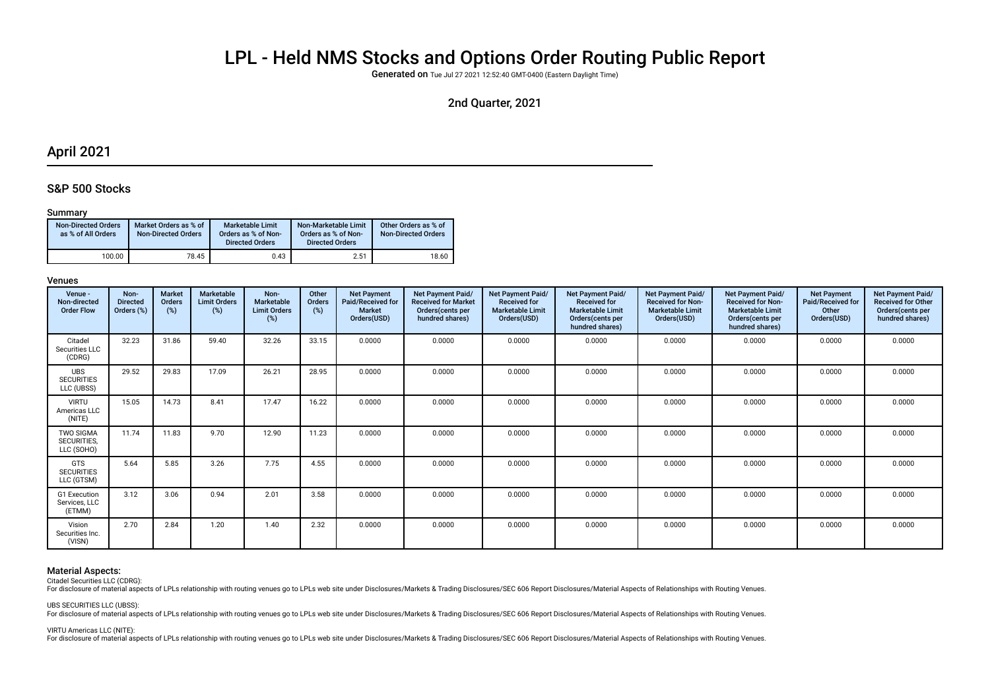# LPL - Held NMS Stocks and Options Order Routing Public Report

Generated on Tue Jul 27 2021 12:52:40 GMT-0400 (Eastern Daylight Time)

### 2nd Quarter, 2021

### April 2021

### S&P 500 Stocks

### Summary

| <b>Non-Directed Orders</b><br>as % of All Orders | Market Orders as % of<br><b>Non-Directed Orders</b> | Marketable Limit<br>Orders as % of Non-<br><b>Directed Orders</b> | Non-Marketable Limit<br>Orders as % of Non-<br><b>Directed Orders</b> | Other Orders as % of<br><b>Non-Directed Orders</b> |
|--------------------------------------------------|-----------------------------------------------------|-------------------------------------------------------------------|-----------------------------------------------------------------------|----------------------------------------------------|
| 100.00                                           | 78.45                                               | 0.43                                                              | 2.51                                                                  | 18.60                                              |

### Venues

| Venue -<br>Non-directed<br><b>Order Flow</b>  | Non-<br><b>Directed</b><br>Orders (%) | <b>Market</b><br>Orders<br>$(\%)$ | <b>Marketable</b><br><b>Limit Orders</b><br>(%) | Non-<br><b>Marketable</b><br><b>Limit Orders</b><br>$(\%)$ | Other<br>Orders<br>(%) | <b>Net Payment</b><br>Paid/Received for<br><b>Market</b><br>Orders(USD) | <b>Net Payment Paid/</b><br><b>Received for Market</b><br>Orders (cents per<br>hundred shares) | Net Payment Paid/<br><b>Received for</b><br><b>Marketable Limit</b><br>Orders(USD) | <b>Net Payment Paid/</b><br><b>Received for</b><br><b>Marketable Limit</b><br>Orders (cents per<br>hundred shares) | <b>Net Payment Paid/</b><br><b>Received for Non-</b><br><b>Marketable Limit</b><br>Orders(USD) | Net Payment Paid/<br><b>Received for Non-</b><br><b>Marketable Limit</b><br>Orders (cents per<br>hundred shares) | <b>Net Payment</b><br>Paid/Received for<br>Other<br>Orders(USD) | Net Payment Paid/<br><b>Received for Other</b><br>Orders (cents per<br>hundred shares) |
|-----------------------------------------------|---------------------------------------|-----------------------------------|-------------------------------------------------|------------------------------------------------------------|------------------------|-------------------------------------------------------------------------|------------------------------------------------------------------------------------------------|------------------------------------------------------------------------------------|--------------------------------------------------------------------------------------------------------------------|------------------------------------------------------------------------------------------------|------------------------------------------------------------------------------------------------------------------|-----------------------------------------------------------------|----------------------------------------------------------------------------------------|
| Citadel<br>Securities LLC<br>(CDRG)           | 32.23                                 | 31.86                             | 59.40                                           | 32.26                                                      | 33.15                  | 0.0000                                                                  | 0.0000                                                                                         | 0.0000                                                                             | 0.0000                                                                                                             | 0.0000                                                                                         | 0.0000                                                                                                           | 0.0000                                                          | 0.0000                                                                                 |
| <b>UBS</b><br><b>SECURITIES</b><br>LLC (UBSS) | 29.52                                 | 29.83                             | 17.09                                           | 26.21                                                      | 28.95                  | 0.0000                                                                  | 0.0000                                                                                         | 0.0000                                                                             | 0.0000                                                                                                             | 0.0000                                                                                         | 0.0000                                                                                                           | 0.0000                                                          | 0.0000                                                                                 |
| <b>VIRTU</b><br>Americas LLC<br>(NITE)        | 15.05                                 | 14.73                             | 8.41                                            | 17.47                                                      | 16.22                  | 0.0000                                                                  | 0.0000                                                                                         | 0.0000                                                                             | 0.0000                                                                                                             | 0.0000                                                                                         | 0.0000                                                                                                           | 0.0000                                                          | 0.0000                                                                                 |
| TWO SIGMA<br>SECURITIES,<br>LLC (SOHO)        | 11.74                                 | 11.83                             | 9.70                                            | 12.90                                                      | 11.23                  | 0.0000                                                                  | 0.0000                                                                                         | 0.0000                                                                             | 0.0000                                                                                                             | 0.0000                                                                                         | 0.0000                                                                                                           | 0.0000                                                          | 0.0000                                                                                 |
| <b>GTS</b><br><b>SECURITIES</b><br>LLC (GTSM) | 5.64                                  | 5.85                              | 3.26                                            | 7.75                                                       | 4.55                   | 0.0000                                                                  | 0.0000                                                                                         | 0.0000                                                                             | 0.0000                                                                                                             | 0.0000                                                                                         | 0.0000                                                                                                           | 0.0000                                                          | 0.0000                                                                                 |
| G1 Execution<br>Services, LLC<br>(ETMM)       | 3.12                                  | 3.06                              | 0.94                                            | 2.01                                                       | 3.58                   | 0.0000                                                                  | 0.0000                                                                                         | 0.0000                                                                             | 0.0000                                                                                                             | 0.0000                                                                                         | 0.0000                                                                                                           | 0.0000                                                          | 0.0000                                                                                 |
| Vision<br>Securities Inc.<br>(VISN)           | 2.70                                  | 2.84                              | 1.20                                            | 1.40                                                       | 2.32                   | 0.0000                                                                  | 0.0000                                                                                         | 0.0000                                                                             | 0.0000                                                                                                             | 0.0000                                                                                         | 0.0000                                                                                                           | 0.0000                                                          | 0.0000                                                                                 |

### Material Aspects:

Citadel Securities LLC (CDRG):

Endisclosure of material aspects of LPLs relationship with routing venues go to LPLs web site under Disclosures/Markets & Trading Disclosures/SEC 606 Report Disclosures/Material Aspects of Relationships with Routing Venues

UBS SECURITIES LLC (UBSS):

For disclosure of material aspects of LPLs relationship with routing venues go to LPLs web site under Disclosures/Markets & Trading Disclosures/SEC 606 Report Disclosures/Material Aspects of Relationships with Routing Venu

### VIRTU Americas LLC (NITE):

For disclosure of material aspects of LPLs relationship with routing venues go to LPLs web site under Disclosures/Markets & Trading Disclosures/SEC 606 Report Disclosures/Material Aspects of Relationships with Routing Venu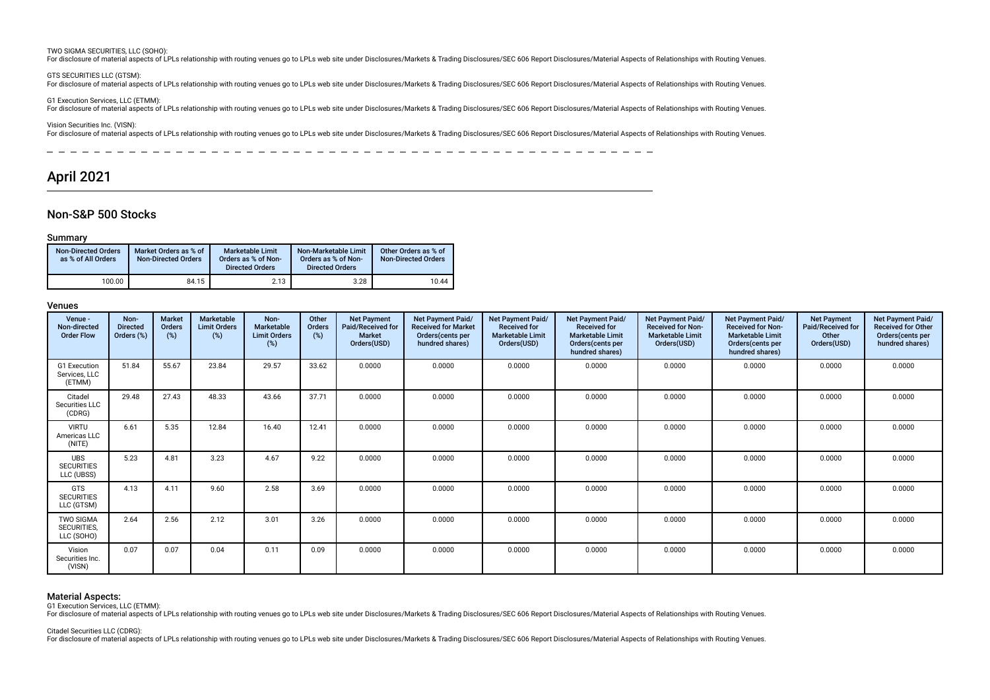#### TWO SIGMA SECURITIES, LLC (SOHO):

For disclosure of material aspects of LPLs relationship with routing venues go to LPLs web site under Disclosures/Markets & Trading Disclosures/SEC 606 Report Disclosures/Material Aspects of Relationships with Routing Venu

GTS SECURITIES LLC (GTSM):

For disclosure of material aspects of LPLs relationship with routing venues go to LPLs web site under Disclosures/Markets & Trading Disclosures/SEC 606 Report Disclosures/Material Aspects of Relationships with Routing Venu

G1 Execution Services, LLC (ETMM):

For disclosure of material aspects of LPLs relationship with routing venues go to LPLs web site under Disclosures/Markets & Trading Disclosures/SEC 606 Report Disclosures/Material Aspects of Relationships with Routing Venu

Vision Securities Inc. (VISN):

For disclosure of material aspects of LPLs relationship with routing venues go to LPLs web site under Disclosures/Markets & Trading Disclosures/SEC 606 Report Disclosures/Material Aspects of Relationships with Routing Venu

--------- $-$ \_\_\_\_\_\_\_\_\_\_\_\_\_\_\_\_\_\_\_\_\_\_\_\_\_\_\_\_\_\_\_\_\_\_

### April 2021

### Non-S&P 500 Stocks

#### Summary

| <b>Non-Directed Orders</b><br>as % of All Orders | Market Orders as % of<br><b>Non-Directed Orders</b> | Marketable Limit<br>Orders as % of Non-<br><b>Directed Orders</b> | Non-Marketable Limit<br>Orders as % of Non-<br><b>Directed Orders</b> | Other Orders as % of<br><b>Non-Directed Orders</b> |
|--------------------------------------------------|-----------------------------------------------------|-------------------------------------------------------------------|-----------------------------------------------------------------------|----------------------------------------------------|
| 100.00                                           | 84.15                                               | 2.13                                                              | 3.28                                                                  | 10.44                                              |

### Venues

| Venue -<br>Non-directed<br><b>Order Flow</b>  | Non-<br><b>Directed</b><br>Orders (%) | Market<br><b>Orders</b><br>(%) | Marketable<br><b>Limit Orders</b><br>(%) | Non-<br>Marketable<br><b>Limit Orders</b><br>(%) | Other<br>Orders<br>(%) | <b>Net Payment</b><br>Paid/Received for<br>Market<br>Orders(USD) | <b>Net Payment Paid/</b><br><b>Received for Market</b><br>Orders(cents per<br>hundred shares) | <b>Net Payment Paid/</b><br><b>Received for</b><br><b>Marketable Limit</b><br>Orders(USD) | <b>Net Payment Paid/</b><br><b>Received for</b><br><b>Marketable Limit</b><br>Orders(cents per<br>hundred shares) | Net Payment Paid/<br><b>Received for Non-</b><br><b>Marketable Limit</b><br>Orders(USD) | Net Payment Paid/<br><b>Received for Non-</b><br><b>Marketable Limit</b><br>Orders (cents per<br>hundred shares) | <b>Net Payment</b><br>Paid/Received for<br>Other<br>Orders(USD) | Net Payment Paid/<br><b>Received for Other</b><br>Orders(cents per<br>hundred shares) |
|-----------------------------------------------|---------------------------------------|--------------------------------|------------------------------------------|--------------------------------------------------|------------------------|------------------------------------------------------------------|-----------------------------------------------------------------------------------------------|-------------------------------------------------------------------------------------------|-------------------------------------------------------------------------------------------------------------------|-----------------------------------------------------------------------------------------|------------------------------------------------------------------------------------------------------------------|-----------------------------------------------------------------|---------------------------------------------------------------------------------------|
| G1 Execution<br>Services, LLC<br>(ETMM)       | 51.84                                 | 55.67                          | 23.84                                    | 29.57                                            | 33.62                  | 0.0000                                                           | 0.0000                                                                                        | 0.0000                                                                                    | 0.0000                                                                                                            | 0.0000                                                                                  | 0.0000                                                                                                           | 0.0000                                                          | 0.0000                                                                                |
| Citadel<br>Securities LLC<br>(CDRG)           | 29.48                                 | 27.43                          | 48.33                                    | 43.66                                            | 37.71                  | 0.0000                                                           | 0.0000                                                                                        | 0.0000                                                                                    | 0.0000                                                                                                            | 0.0000                                                                                  | 0.0000                                                                                                           | 0.0000                                                          | 0.0000                                                                                |
| <b>VIRTU</b><br>Americas LLC<br>(NITE)        | 6.61                                  | 5.35                           | 12.84                                    | 16.40                                            | 12.41                  | 0.0000                                                           | 0.0000                                                                                        | 0.0000                                                                                    | 0.0000                                                                                                            | 0.0000                                                                                  | 0.0000                                                                                                           | 0.0000                                                          | 0.0000                                                                                |
| <b>UBS</b><br><b>SECURITIES</b><br>LLC (UBSS) | 5.23                                  | 4.81                           | 3.23                                     | 4.67                                             | 9.22                   | 0.0000                                                           | 0.0000                                                                                        | 0.0000                                                                                    | 0.0000                                                                                                            | 0.0000                                                                                  | 0.0000                                                                                                           | 0.0000                                                          | 0.0000                                                                                |
| GTS<br><b>SECURITIES</b><br>LLC (GTSM)        | 4.13                                  | 4.11                           | 9.60                                     | 2.58                                             | 3.69                   | 0.0000                                                           | 0.0000                                                                                        | 0.0000                                                                                    | 0.0000                                                                                                            | 0.0000                                                                                  | 0.0000                                                                                                           | 0.0000                                                          | 0.0000                                                                                |
| <b>TWO SIGMA</b><br>SECURITIES,<br>LLC (SOHO) | 2.64                                  | 2.56                           | 2.12                                     | 3.01                                             | 3.26                   | 0.0000                                                           | 0.0000                                                                                        | 0.0000                                                                                    | 0.0000                                                                                                            | 0.0000                                                                                  | 0.0000                                                                                                           | 0.0000                                                          | 0.0000                                                                                |
| Vision<br>Securities Inc.<br>(VISN)           | 0.07                                  | 0.07                           | 0.04                                     | 0.11                                             | 0.09                   | 0.0000                                                           | 0.0000                                                                                        | 0.0000                                                                                    | 0.0000                                                                                                            | 0.0000                                                                                  | 0.0000                                                                                                           | 0.0000                                                          | 0.0000                                                                                |

### Material Aspects:

G1 Execution Services, LLC (ETMM):

For disclosure of material aspects of LPLs relationship with routing venues go to LPLs web site under Disclosures/Markets & Trading Disclosures/SEC 606 Report Disclosures/Material Aspects of Relationships with Routing Venu

Citadel Securities LLC (CDRG):

For disclosure of material aspects of LPLs relationship with routing venues go to LPLs web site under Disclosures/Markets & Trading Disclosures/SEC 606 Report Disclosures/Material Aspects of Relationships with Routing Venu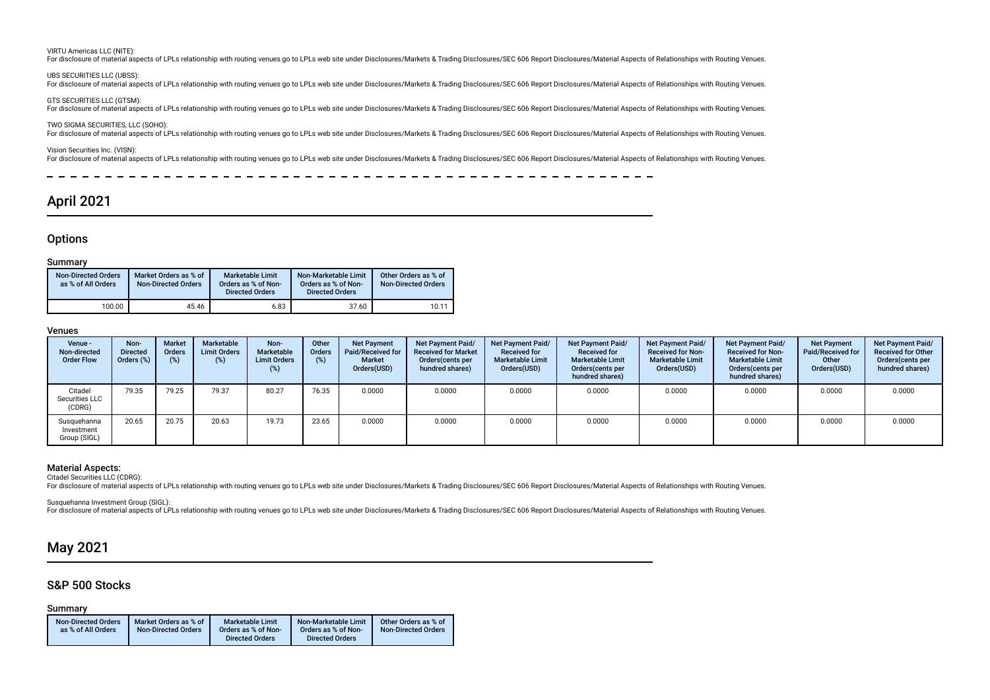#### VIRTU Americas LLC (NITE):

For disclosure of material aspects of LPLs relationship with routing venues go to LPLs web site under Disclosures/Markets & Trading Disclosures/SEC 606 Report Disclosures/Material Aspects of Relationships with Routing Venu

### UBS SECURITIES LLC (UBSS):

For disclosure of material aspects of LPLs relationship with routing venues go to LPLs web site under Disclosures/Markets & Trading Disclosures/SEC 606 Report Disclosures/Material Aspects of Relationships with Routing Venu

GTS SECURITIES LLC (GTSM): For disclosure of material aspects of LPLs relationship with routing venues go to LPLs web site under Disclosures/Markets & Trading Disclosures/SEC 606 Report Disclosures/Material Aspects of Relationships with Routing Venu

TWO SIGMA SECURITIES, LLC (SOHO): For disclosure of material aspects of LPLs relationship with routing venues go to LPLs web site under Disclosures/Markets & Trading Disclosures/SEC 606 Report Disclosures/Material Aspects of Relationships with Routing Venu

Vision Securities Inc. (VISN):

For disclosure of material aspects of LPLs relationship with routing venues go to LPLs web site under Disclosures/Markets & Trading Disclosures/SEC 606 Report Disclosures/Material Aspects of Relationships with Routing Venu

------------------------

### April 2021

### **Options**

#### Summary

| <b>Non-Directed Orders</b><br>as % of All Orders | Market Orders as % of<br><b>Non-Directed Orders</b> | Marketable Limit<br>Orders as % of Non-<br><b>Directed Orders</b> | Non-Marketable Limit<br>Orders as % of Non-<br><b>Directed Orders</b> | Other Orders as % of<br><b>Non-Directed Orders</b> |
|--------------------------------------------------|-----------------------------------------------------|-------------------------------------------------------------------|-----------------------------------------------------------------------|----------------------------------------------------|
| 100.00                                           | 45.46                                               | 6.83                                                              | 37.60                                                                 | 10.11                                              |

#### Venues

| Venue -<br>Non-directed<br><b>Order Flow</b> | Non-<br><b>Directed</b><br>Orders (%) | <b>Market</b><br><b>Orders</b><br>(%) | Marketable<br><b>Limit Orders</b><br>(%) | Non-<br>Marketable<br><b>Limit Orders</b> | Other<br>Orders | <b>Net Payment</b><br>Paid/Received for<br><b>Market</b><br>Orders(USD) | Net Payment Paid/<br><b>Received for Market</b><br>Orders (cents per<br>hundred shares) | <b>Net Payment Paid/</b><br><b>Received for</b><br><b>Marketable Limit</b><br>Orders(USD) | Net Payment Paid/<br><b>Received for</b><br><b>Marketable Limit</b><br>Orders (cents per<br>hundred shares) | <b>Net Payment Paid/</b><br><b>Received for Non-</b><br><b>Marketable Limit</b><br>Orders(USD) | Net Payment Paid/<br><b>Received for Non-</b><br><b>Marketable Limit</b><br>Orders (cents per<br>hundred shares) | <b>Net Payment</b><br><b>Paid/Received for</b><br>Other<br>Orders(USD) | Net Payment Paid/<br><b>Received for Other</b><br>Orders (cents per<br>hundred shares) |
|----------------------------------------------|---------------------------------------|---------------------------------------|------------------------------------------|-------------------------------------------|-----------------|-------------------------------------------------------------------------|-----------------------------------------------------------------------------------------|-------------------------------------------------------------------------------------------|-------------------------------------------------------------------------------------------------------------|------------------------------------------------------------------------------------------------|------------------------------------------------------------------------------------------------------------------|------------------------------------------------------------------------|----------------------------------------------------------------------------------------|
| Citadel<br>Securities LLC<br>(CDRG)          | 79.35                                 | 79.25                                 | 79.37                                    | 80.27                                     | 76.35           | 0.0000                                                                  | 0.0000                                                                                  | 0.0000                                                                                    | 0.0000                                                                                                      | 0.0000                                                                                         | 0.0000                                                                                                           | 0.0000                                                                 | 0.0000                                                                                 |
| Susquehanna<br>Investment<br>Group (SIGL)    | 20.65                                 | 20.75                                 | 20.63                                    | 19.73                                     | 23.65           | 0.0000                                                                  | 0.0000                                                                                  | 0.0000                                                                                    | 0.0000                                                                                                      | 0.0000                                                                                         | 0.0000                                                                                                           | 0.0000                                                                 | 0.0000                                                                                 |

#### Material Aspects:

Citadel Securities LLC (CDRG):

For disclosure of material aspects of LPLs relationship with routing venues go to LPLs web site under Disclosures/Markets & Trading Disclosures/SEC 606 Report Disclosures/Material Aspects of Relationships with Routing Venu

Susquehanna Investment Group (SIGL):

For disclosure of material aspects of LPLs relationship with routing venues go to LPLs web site under Disclosures/Markets & Trading Disclosures/SEC 606 Report Disclosures/Material Aspects of Relationships with Routing Venu

### May 2021

### S&P 500 Stocks

### Summary

| <b>Non-Directed Orders</b> | Market Orders as % of      | <b>Marketable Limit</b> | Non-Marketable Limit   | Other Orders as % of       |
|----------------------------|----------------------------|-------------------------|------------------------|----------------------------|
| as % of All Orders         | <b>Non-Directed Orders</b> | Orders as % of Non-     | Orders as % of Non-    | <b>Non-Directed Orders</b> |
|                            |                            | <b>Directed Orders</b>  | <b>Directed Orders</b> |                            |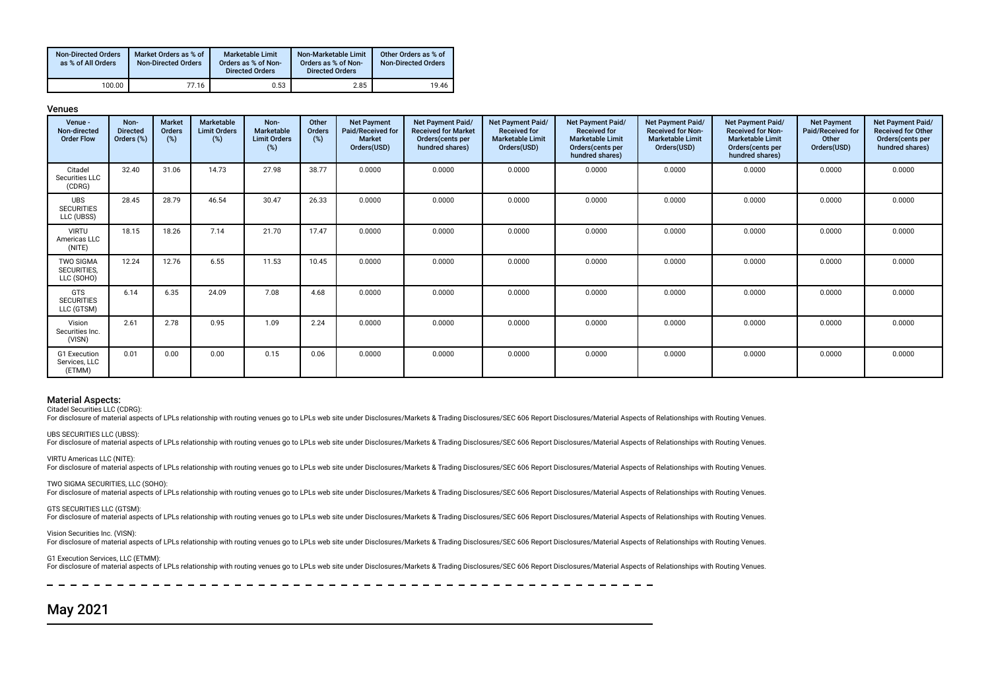| <b>Non-Directed Orders</b><br>as % of All Orders | Market Orders as % of<br><b>Non-Directed Orders</b> | Marketable Limit<br>Orders as % of Non-<br><b>Directed Orders</b> | Non-Marketable Limit<br>Orders as % of Non-<br><b>Directed Orders</b> | Other Orders as % of<br><b>Non-Directed Orders</b> |
|--------------------------------------------------|-----------------------------------------------------|-------------------------------------------------------------------|-----------------------------------------------------------------------|----------------------------------------------------|
| 100.00                                           | 77.16                                               | 0.53                                                              | 2.85                                                                  | 19.46                                              |

Venues

| Venue -<br>Non-directed<br><b>Order Flow</b>  | Non-<br><b>Directed</b><br>Orders (%) | <b>Market</b><br>Orders<br>(%) | Marketable<br><b>Limit Orders</b><br>(%) | Non-<br><b>Marketable</b><br><b>Limit Orders</b><br>(%) | Other<br>Orders<br>(%) | <b>Net Payment</b><br>Paid/Received for<br><b>Market</b><br>Orders(USD) | <b>Net Payment Paid/</b><br><b>Received for Market</b><br>Orders(cents per<br>hundred shares) | Net Payment Paid/<br><b>Received for</b><br><b>Marketable Limit</b><br>Orders(USD) | Net Payment Paid/<br><b>Received for</b><br><b>Marketable Limit</b><br>Orders(cents per<br>hundred shares) | Net Payment Paid/<br><b>Received for Non-</b><br><b>Marketable Limit</b><br>Orders(USD) | Net Payment Paid/<br><b>Received for Non-</b><br><b>Marketable Limit</b><br>Orders (cents per<br>hundred shares) | <b>Net Payment</b><br>Paid/Received for<br>Other<br>Orders(USD) | Net Payment Paid/<br><b>Received for Other</b><br>Orders(cents per<br>hundred shares) |
|-----------------------------------------------|---------------------------------------|--------------------------------|------------------------------------------|---------------------------------------------------------|------------------------|-------------------------------------------------------------------------|-----------------------------------------------------------------------------------------------|------------------------------------------------------------------------------------|------------------------------------------------------------------------------------------------------------|-----------------------------------------------------------------------------------------|------------------------------------------------------------------------------------------------------------------|-----------------------------------------------------------------|---------------------------------------------------------------------------------------|
| Citadel<br>Securities LLC<br>(CDRG)           | 32.40                                 | 31.06                          | 14.73                                    | 27.98                                                   | 38.77                  | 0.0000                                                                  | 0.0000                                                                                        | 0.0000                                                                             | 0.0000                                                                                                     | 0.0000                                                                                  | 0.0000                                                                                                           | 0.0000                                                          | 0.0000                                                                                |
| <b>UBS</b><br><b>SECURITIES</b><br>LLC (UBSS) | 28.45                                 | 28.79                          | 46.54                                    | 30.47                                                   | 26.33                  | 0.0000                                                                  | 0.0000                                                                                        | 0.0000                                                                             | 0.0000                                                                                                     | 0.0000                                                                                  | 0.0000                                                                                                           | 0.0000                                                          | 0.0000                                                                                |
| <b>VIRTU</b><br>Americas LLC<br>(NITE)        | 18.15                                 | 18.26                          | 7.14                                     | 21.70                                                   | 17.47                  | 0.0000                                                                  | 0.0000                                                                                        | 0.0000                                                                             | 0.0000                                                                                                     | 0.0000                                                                                  | 0.0000                                                                                                           | 0.0000                                                          | 0.0000                                                                                |
| <b>TWO SIGMA</b><br>SECURITIES,<br>LLC (SOHO) | 12.24                                 | 12.76                          | 6.55                                     | 11.53                                                   | 10.45                  | 0.0000                                                                  | 0.0000                                                                                        | 0.0000                                                                             | 0.0000                                                                                                     | 0.0000                                                                                  | 0.0000                                                                                                           | 0.0000                                                          | 0.0000                                                                                |
| <b>GTS</b><br><b>SECURITIES</b><br>LLC (GTSM) | 6.14                                  | 6.35                           | 24.09                                    | 7.08                                                    | 4.68                   | 0.0000                                                                  | 0.0000                                                                                        | 0.0000                                                                             | 0.0000                                                                                                     | 0.0000                                                                                  | 0.0000                                                                                                           | 0.0000                                                          | 0.0000                                                                                |
| Vision<br>Securities Inc.<br>(VISN)           | 2.61                                  | 2.78                           | 0.95                                     | 1.09                                                    | 2.24                   | 0.0000                                                                  | 0.0000                                                                                        | 0.0000                                                                             | 0.0000                                                                                                     | 0.0000                                                                                  | 0.0000                                                                                                           | 0.0000                                                          | 0.0000                                                                                |
| G1 Execution<br>Services, LLC<br>(ETMM)       | 0.01                                  | 0.00                           | 0.00                                     | 0.15                                                    | 0.06                   | 0.0000                                                                  | 0.0000                                                                                        | 0.0000                                                                             | 0.0000                                                                                                     | 0.0000                                                                                  | 0.0000                                                                                                           | 0.0000                                                          | 0.0000                                                                                |

### Material Aspects:

Citadel Securities LLC (CDRG):

For disclosure of material aspects of LPLs relationship with routing venues go to LPLs web site under Disclosures/Markets & Trading Disclosures/SEC 606 Report Disclosures/Material Aspects of Relationships with Routing Venu

UBS SECURITIES LLC (UBSS):

For disclosure of material aspects of LPLs relationship with routing venues go to LPLs web site under Disclosures/Markets & Trading Disclosures/SEC 606 Report Disclosures/Material Aspects of Relationships with Routing Venu

VIRTU Americas LLC (NITE): For disclosure of material aspects of LPLs relationship with routing venues go to LPLs web site under Disclosures/Markets & Trading Disclosures/SEC 606 Report Disclosures/Material Aspects of Relationships with Routing Venu

TWO SIGMA SECURITIES, LLC (SOHO):

For disclosure of material aspects of LPLs relationship with routing venues go to LPLs web site under Disclosures/Markets & Trading Disclosures/SEC 606 Report Disclosures/Material Aspects of Relationships with Routing Venu

GTS SECURITIES LLC (GTSM):

For disclosure of material aspects of LPLs relationship with routing venues go to LPLs web site under Disclosures/Markets & Trading Disclosures/SEC 606 Report Disclosures/Material Aspects of Relationships with Routing Venu

Vision Securities Inc. (VISN):

For disclosure of material aspects of LPLs relationship with routing venues go to LPLs web site under Disclosures/Markets & Trading Disclosures/SEC 606 Report Disclosures/Material Aspects of Relationships with Routing Venu

### G1 Execution Services, LLC (ETMM):

For disclosure of material aspects of LPLs relationship with routing venues go to LPLs web site under Disclosures/Markets & Trading Disclosures/SEC 606 Report Disclosures/Material Aspects of Relationships with Routing Venu

 $- - - - - -$ 

## May 2021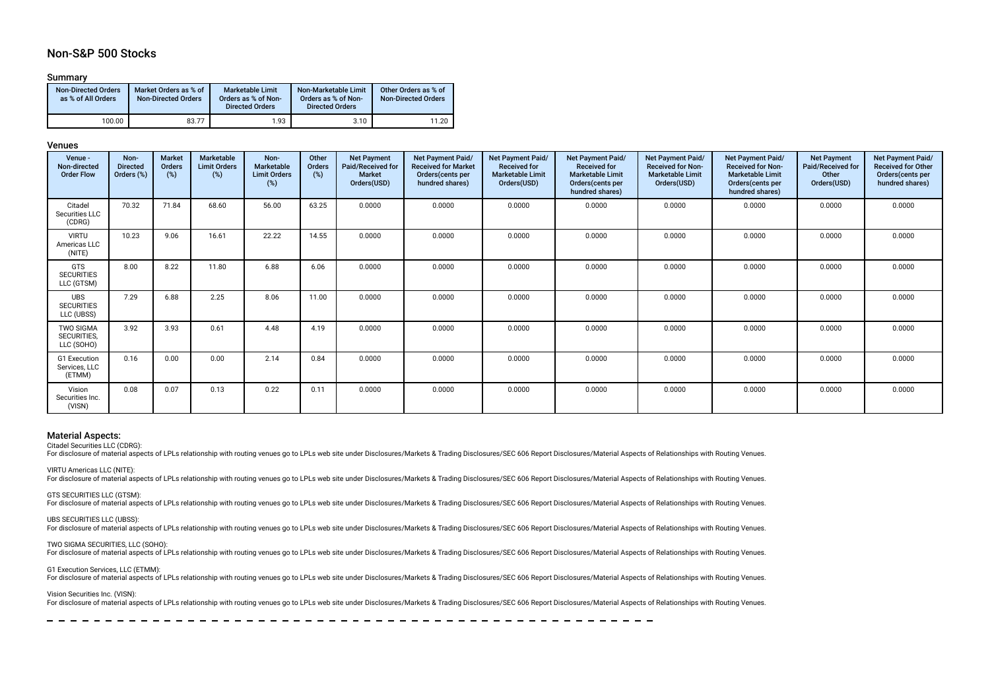### Non-S&P 500 Stocks

### Summary

| <b>Non-Directed Orders</b><br>as % of All Orders | Market Orders as % of<br><b>Non-Directed Orders</b> | <b>Marketable Limit</b><br>Orders as % of Non-<br><b>Directed Orders</b> | Non-Marketable Limit<br>Orders as % of Non-<br><b>Directed Orders</b> | Other Orders as % of<br><b>Non-Directed Orders</b> |
|--------------------------------------------------|-----------------------------------------------------|--------------------------------------------------------------------------|-----------------------------------------------------------------------|----------------------------------------------------|
| 100.00                                           | 83.77                                               | 1.93                                                                     | 3.10                                                                  | 11.20                                              |

### Venues

| Venue -<br>Non-directed<br><b>Order Flow</b>  | Non-<br><b>Directed</b><br>Orders (%) | Market<br>Orders<br>(%) | Marketable<br><b>Limit Orders</b><br>(%) | Non-<br>Marketable<br><b>Limit Orders</b><br>(%) | Other<br>Orders<br>(%) | <b>Net Payment</b><br><b>Paid/Received for</b><br><b>Market</b><br>Orders(USD) | Net Payment Paid/<br><b>Received for Market</b><br>Orders(cents per<br>hundred shares) | Net Payment Paid/<br><b>Received for</b><br><b>Marketable Limit</b><br>Orders(USD) | Net Payment Paid/<br><b>Received for</b><br><b>Marketable Limit</b><br>Orders (cents per<br>hundred shares) | Net Payment Paid/<br><b>Received for Non-</b><br><b>Marketable Limit</b><br>Orders(USD) | Net Payment Paid/<br><b>Received for Non-</b><br><b>Marketable Limit</b><br>Orders(cents per<br>hundred shares) | <b>Net Payment</b><br>Paid/Received for<br>Other<br>Orders(USD) | Net Payment Paid/<br><b>Received for Other</b><br>Orders(cents per<br>hundred shares) |
|-----------------------------------------------|---------------------------------------|-------------------------|------------------------------------------|--------------------------------------------------|------------------------|--------------------------------------------------------------------------------|----------------------------------------------------------------------------------------|------------------------------------------------------------------------------------|-------------------------------------------------------------------------------------------------------------|-----------------------------------------------------------------------------------------|-----------------------------------------------------------------------------------------------------------------|-----------------------------------------------------------------|---------------------------------------------------------------------------------------|
| Citadel<br>Securities LLC<br>(CDRG)           | 70.32                                 | 71.84                   | 68.60                                    | 56.00                                            | 63.25                  | 0.0000                                                                         | 0.0000                                                                                 | 0.0000                                                                             | 0.0000                                                                                                      | 0.0000                                                                                  | 0.0000                                                                                                          | 0.0000                                                          | 0.0000                                                                                |
| <b>VIRTU</b><br>Americas LLC<br>(NITE)        | 10.23                                 | 9.06                    | 16.61                                    | 22.22                                            | 14.55                  | 0.0000                                                                         | 0.0000                                                                                 | 0.0000                                                                             | 0.0000                                                                                                      | 0.0000                                                                                  | 0.0000                                                                                                          | 0.0000                                                          | 0.0000                                                                                |
| <b>GTS</b><br><b>SECURITIES</b><br>LLC (GTSM) | 8.00                                  | 8.22                    | 11.80                                    | 6.88                                             | 6.06                   | 0.0000                                                                         | 0.0000                                                                                 | 0.0000                                                                             | 0.0000                                                                                                      | 0.0000                                                                                  | 0.0000                                                                                                          | 0.0000                                                          | 0.0000                                                                                |
| UBS<br><b>SECURITIES</b><br>LLC (UBSS)        | 7.29                                  | 6.88                    | 2.25                                     | 8.06                                             | 11.00                  | 0.0000                                                                         | 0.0000                                                                                 | 0.0000                                                                             | 0.0000                                                                                                      | 0.0000                                                                                  | 0.0000                                                                                                          | 0.0000                                                          | 0.0000                                                                                |
| <b>TWO SIGMA</b><br>SECURITIES.<br>LLC (SOHO) | 3.92                                  | 3.93                    | 0.61                                     | 4.48                                             | 4.19                   | 0.0000                                                                         | 0.0000                                                                                 | 0.0000                                                                             | 0.0000                                                                                                      | 0.0000                                                                                  | 0.0000                                                                                                          | 0.0000                                                          | 0.0000                                                                                |
| G1 Execution<br>Services, LLC<br>(ETMM)       | 0.16                                  | 0.00                    | 0.00                                     | 2.14                                             | 0.84                   | 0.0000                                                                         | 0.0000                                                                                 | 0.0000                                                                             | 0.0000                                                                                                      | 0.0000                                                                                  | 0.0000                                                                                                          | 0.0000                                                          | 0.0000                                                                                |
| Vision<br>Securities Inc.<br>(VISN)           | 0.08                                  | 0.07                    | 0.13                                     | 0.22                                             | 0.11                   | 0.0000                                                                         | 0.0000                                                                                 | 0.0000                                                                             | 0.0000                                                                                                      | 0.0000                                                                                  | 0.0000                                                                                                          | 0.0000                                                          | 0.0000                                                                                |

#### Material Aspects:

Citadel Securities LLC (CDRG):

For disclosure of material aspects of LPLs relationship with routing venues go to LPLs web site under Disclosures/Markets & Trading Disclosures/SEC 606 Report Disclosures/Material Aspects of Relationships with Routing Venu

VIRTU Americas LLC (NITE):

For disclosure of material aspects of LPLs relationship with routing venues go to LPLs web site under Disclosures/Markets & Trading Disclosures/SEC 606 Report Disclosures/Material Aspects of Relationships with Routing Venu

GTS SECURITIES LLC (GTSM):

For disclosure of material aspects of LPLs relationship with routing venues go to LPLs web site under Disclosures/Markets & Trading Disclosures/SEC 606 Report Disclosures/Material Aspects of Relationships with Routing Venu

UBS SECURITIES LLC (UBSS):

For disclosure of material aspects of LPLs relationship with routing venues go to LPLs web site under Disclosures/Markets & Trading Disclosures/SEC 606 Report Disclosures/Material Aspects of Relationships with Routing Venu

TWO SIGMA SECURITIES, LLC (SOHO):

For disclosure of material aspects of LPLs relationship with routing venues go to LPLs web site under Disclosures/Markets & Trading Disclosures/SEC 606 Report Disclosures/Material Aspects of Relationships with Routing Venu

#### G1 Execution Services, LLC (ETMM):

For disclosure of material aspects of LPLs relationship with routing venues go to LPLs web site under Disclosures/Markets & Trading Disclosures/SEC 606 Report Disclosures/Material Aspects of Relationships with Routing Venu

Vision Securities Inc. (VISN):

For disclosure of material aspects of LPLs relationship with routing venues go to LPLs web site under Disclosures/Markets & Trading Disclosures/SEC 606 Report Disclosures/Material Aspects of Relationships with Routing Venu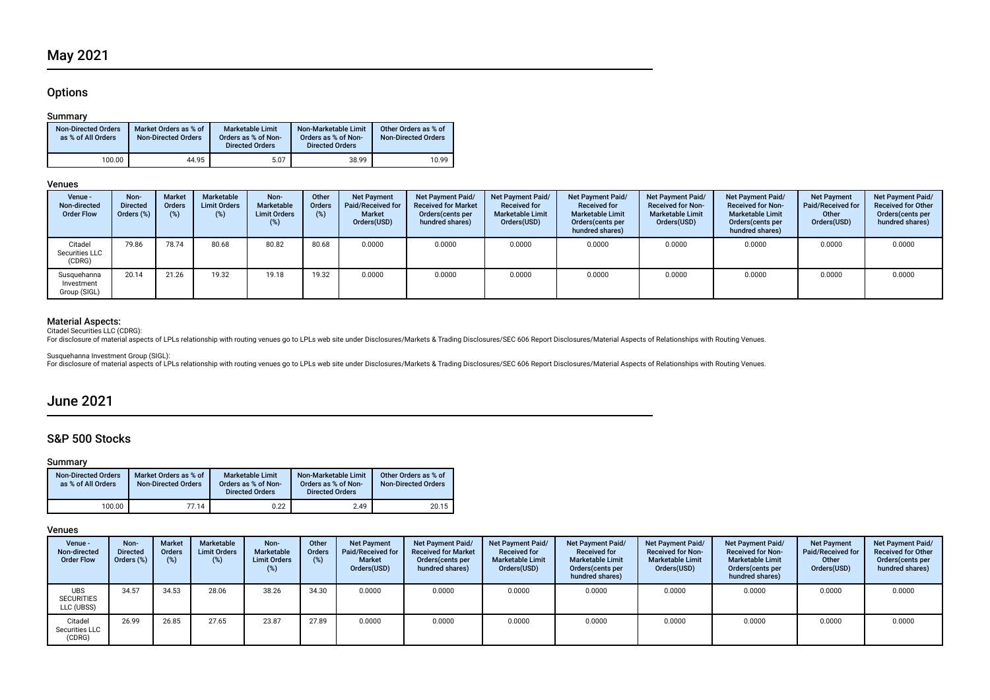### **Options**

### Summary

| <b>Non-Directed Orders</b><br>as % of All Orders | Market Orders as % of<br><b>Non-Directed Orders</b> | Marketable Limit<br>Orders as % of Non-<br><b>Directed Orders</b> | Non-Marketable Limit<br>Orders as % of Non-<br><b>Directed Orders</b> | Other Orders as % of<br><b>Non-Directed Orders</b> |
|--------------------------------------------------|-----------------------------------------------------|-------------------------------------------------------------------|-----------------------------------------------------------------------|----------------------------------------------------|
| 100.00                                           | 44.95                                               | 5.07                                                              | 38.99                                                                 | 10.99                                              |

### Venues

| Venue -<br>Non-directed<br><b>Order Flow</b> | Non-<br><b>Directed</b><br>Orders (%) | <b>Market</b><br><b>Orders</b> | Marketable<br><b>Limit Orders</b><br>(%) | Non-<br><b>Marketable</b><br><b>Limit Orders</b><br>(%) | Other<br>Orders<br>$(\%)$ | <b>Net Payment</b><br>Paid/Received for<br><b>Market</b><br>Orders(USD) | Net Payment Paid/<br><b>Received for Market</b><br>Orders (cents per<br>hundred shares) | <b>Net Payment Paid/</b><br><b>Received for</b><br><b>Marketable Limit</b><br>Orders(USD) | Net Payment Paid/<br><b>Received for</b><br><b>Marketable Limit</b><br>Orders (cents per<br>hundred shares) | <b>Net Payment Paid/</b><br><b>Received for Non-</b><br><b>Marketable Limit</b><br>Orders(USD) | <b>Net Payment Paid/</b><br><b>Received for Non-</b><br><b>Marketable Limit</b><br>Orders(cents per<br>hundred shares) | <b>Net Payment</b><br>Paid/Received for<br>Other<br>Orders(USD) | Net Payment Paid/<br><b>Received for Other</b><br>Orders(cents per<br>hundred shares) |
|----------------------------------------------|---------------------------------------|--------------------------------|------------------------------------------|---------------------------------------------------------|---------------------------|-------------------------------------------------------------------------|-----------------------------------------------------------------------------------------|-------------------------------------------------------------------------------------------|-------------------------------------------------------------------------------------------------------------|------------------------------------------------------------------------------------------------|------------------------------------------------------------------------------------------------------------------------|-----------------------------------------------------------------|---------------------------------------------------------------------------------------|
| Citadel<br>Securities LLC<br>(CDRG)          | 79.86                                 | 78.74                          | 80.68                                    | 80.82                                                   | 80.68                     | 0.0000                                                                  | 0.0000                                                                                  | 0.0000                                                                                    | 0.0000                                                                                                      | 0.0000                                                                                         | 0.0000                                                                                                                 | 0.0000                                                          | 0.0000                                                                                |
| Susquehanna<br>Investment<br>Group (SIGL)    | 20.14                                 | 21.26                          | 19.32                                    | 19.18                                                   | 19.32                     | 0.0000                                                                  | 0.0000                                                                                  | 0.0000                                                                                    | 0.0000                                                                                                      | 0.0000                                                                                         | 0.0000                                                                                                                 | 0.0000                                                          | 0.0000                                                                                |

**Material Aspects:**<br>Citadel Securities LLC (CDRG):<br>For disclosure of material aspects of LPLs relationship with routing venues go to LPLs web site under Disclosures/Markets & Trading Disclosures/SEC 606 Report Disclosures/

Susquehanna Investment Group (SIGL):<br>For disclosure of material aspects of LPLs relationship with routing venues go to LPLs web site under Disclosures/Markets & Trading Disclosures/SEC 606 Report Disclosures/Material Aspec

## June 2021

### S&P 500 Stocks

### Summary

| <b>Non-Directed Orders</b><br>as % of All Orders | Market Orders as % of<br><b>Non-Directed Orders</b> | Marketable Limit<br>Orders as % of Non-<br><b>Directed Orders</b> | Non-Marketable Limit<br>Orders as % of Non-<br><b>Directed Orders</b> | Other Orders as % of<br><b>Non-Directed Orders</b> |
|--------------------------------------------------|-----------------------------------------------------|-------------------------------------------------------------------|-----------------------------------------------------------------------|----------------------------------------------------|
| 100.00                                           | 77.14                                               | 0.22                                                              | 2.49                                                                  | 20.15                                              |

### Venues

| Venue -<br>Non-directed<br><b>Order Flow</b>  | Non-<br><b>Directed</b><br>Orders (%) | <b>Market</b><br><b>Orders</b><br>(%) | Marketable<br><b>Limit Orders</b><br>$(\%)$ | Non-<br>Marketable<br><b>Limit Orders</b><br>(%) | Other<br><b>Orders</b><br>(%) | <b>Net Payment</b><br>Paid/Received for<br><b>Market</b><br>Orders(USD) | <b>Net Payment Paid/</b><br><b>Received for Market</b><br>Orders (cents per<br>hundred shares) | Net Payment Paid/<br><b>Received for</b><br><b>Marketable Limit</b><br>Orders(USD) | Net Payment Paid/<br><b>Received for</b><br><b>Marketable Limit</b><br>Orders (cents per<br>hundred shares) | Net Payment Paid/<br><b>Received for Non-</b><br><b>Marketable Limit</b><br>Orders(USD) | Net Payment Paid/<br><b>Received for Non-</b><br><b>Marketable Limit</b><br>Orders (cents per<br>hundred shares) | <b>Net Payment</b><br>Paid/Received for<br>Other<br>Orders(USD) | Net Payment Paid/<br><b>Received for Other</b><br>Orders(cents per<br>hundred shares) |
|-----------------------------------------------|---------------------------------------|---------------------------------------|---------------------------------------------|--------------------------------------------------|-------------------------------|-------------------------------------------------------------------------|------------------------------------------------------------------------------------------------|------------------------------------------------------------------------------------|-------------------------------------------------------------------------------------------------------------|-----------------------------------------------------------------------------------------|------------------------------------------------------------------------------------------------------------------|-----------------------------------------------------------------|---------------------------------------------------------------------------------------|
| <b>UBS</b><br><b>SECURITIES</b><br>LLC (UBSS) | 34.57                                 | 34.53                                 | 28.06                                       | 38.26                                            | 34.30                         | 0.0000                                                                  | 0.0000                                                                                         | 0.0000                                                                             | 0.0000                                                                                                      | 0.0000                                                                                  | 0.0000                                                                                                           | 0.0000                                                          | 0.0000                                                                                |
| Citadel<br>Securities LLC<br>(CDRG)           | 26.99                                 | 26.85                                 | 27.65                                       | 23.87                                            | 27.89                         | 0.0000                                                                  | 0.0000                                                                                         | 0.0000                                                                             | 0.0000                                                                                                      | 0.0000                                                                                  | 0.0000                                                                                                           | 0.0000                                                          | 0.0000                                                                                |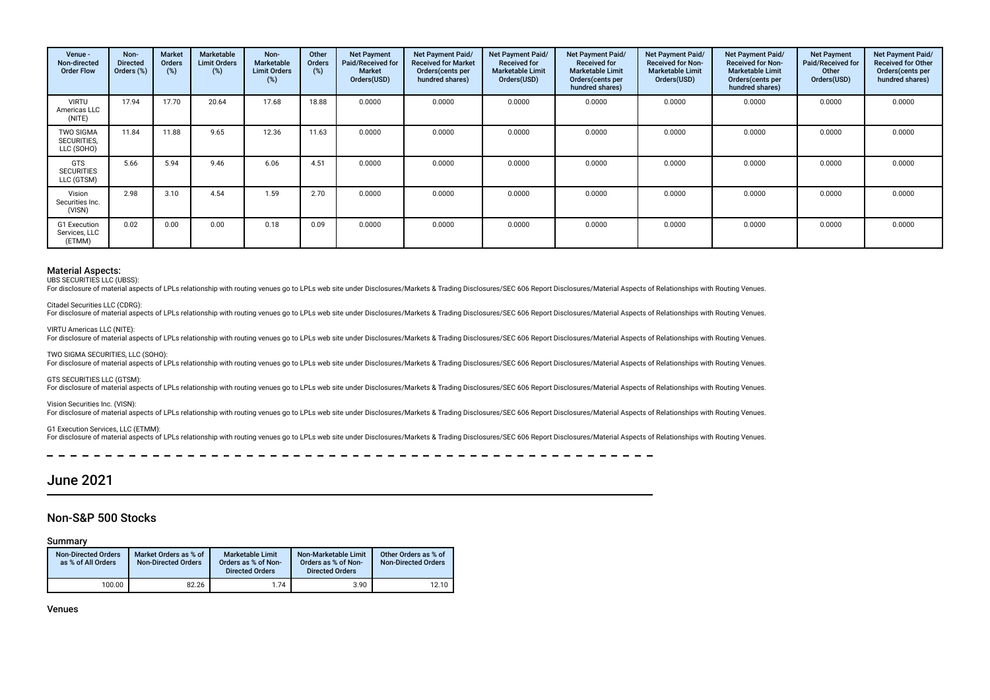| Venue -<br>Non-directed<br><b>Order Flow</b>  | Non-<br><b>Directed</b><br>Orders (%) | <b>Market</b><br>Orders<br>(%) | Marketable<br><b>Limit Orders</b><br>(%) | Non-<br>Marketable<br><b>Limit Orders</b><br>(%) | Other<br><b>Orders</b><br>(%) | <b>Net Payment</b><br>Paid/Received for<br>Market<br>Orders(USD) | Net Payment Paid/<br><b>Received for Market</b><br>Orders (cents per<br>hundred shares) | Net Payment Paid/<br><b>Received for</b><br><b>Marketable Limit</b><br>Orders(USD) | <b>Net Payment Paid/</b><br><b>Received for</b><br><b>Marketable Limit</b><br>Orders (cents per<br>hundred shares) | Net Payment Paid/<br><b>Received for Non-</b><br><b>Marketable Limit</b><br>Orders(USD) | Net Payment Paid/<br><b>Received for Non-</b><br><b>Marketable Limit</b><br>Orders (cents per<br>hundred shares) | <b>Net Payment</b><br>Paid/Received for<br>Other<br>Orders(USD) | Net Payment Paid/<br><b>Received for Other</b><br>Orders (cents per<br>hundred shares) |
|-----------------------------------------------|---------------------------------------|--------------------------------|------------------------------------------|--------------------------------------------------|-------------------------------|------------------------------------------------------------------|-----------------------------------------------------------------------------------------|------------------------------------------------------------------------------------|--------------------------------------------------------------------------------------------------------------------|-----------------------------------------------------------------------------------------|------------------------------------------------------------------------------------------------------------------|-----------------------------------------------------------------|----------------------------------------------------------------------------------------|
| <b>VIRTU</b><br>Americas LLC<br>(NITE)        | 17.94                                 | 17.70                          | 20.64                                    | 17.68                                            | 18.88                         | 0.0000                                                           | 0.0000                                                                                  | 0.0000                                                                             | 0.0000                                                                                                             | 0.0000                                                                                  | 0.0000                                                                                                           | 0.0000                                                          | 0.0000                                                                                 |
| <b>TWO SIGMA</b><br>SECURITIES,<br>LLC (SOHO) | 11.84                                 | 11.88                          | 9.65                                     | 12.36                                            | 11.63                         | 0.0000                                                           | 0.0000                                                                                  | 0.0000                                                                             | 0.0000                                                                                                             | 0.0000                                                                                  | 0.0000                                                                                                           | 0.0000                                                          | 0.0000                                                                                 |
| <b>GTS</b><br><b>SECURITIES</b><br>LLC (GTSM) | 5.66                                  | 5.94                           | 9.46                                     | 6.06                                             | 4.51                          | 0.0000                                                           | 0.0000                                                                                  | 0.0000                                                                             | 0.0000                                                                                                             | 0.0000                                                                                  | 0.0000                                                                                                           | 0.0000                                                          | 0.0000                                                                                 |
| Vision<br>Securities Inc.<br>(VISN)           | 2.98                                  | 3.10                           | 4.54                                     | 1.59                                             | 2.70                          | 0.0000                                                           | 0.0000                                                                                  | 0.0000                                                                             | 0.0000                                                                                                             | 0.0000                                                                                  | 0.0000                                                                                                           | 0.0000                                                          | 0.0000                                                                                 |
| G1 Execution<br>Services, LLC<br>(ETMM)       | 0.02                                  | 0.00                           | 0.00                                     | 0.18                                             | 0.09                          | 0.0000                                                           | 0.0000                                                                                  | 0.0000                                                                             | 0.0000                                                                                                             | 0.0000                                                                                  | 0.0000                                                                                                           | 0.0000                                                          | 0.0000                                                                                 |

#### Material Aspects:

UBS SECURITIES LLC (UBSS):

For disclosure of material aspects of LPLs relationship with routing venues go to LPLs web site under Disclosures/Markets & Trading Disclosures/SEC 606 Report Disclosures/Material Aspects of Relationships with Routing Venu

Citadel Securities LLC (CDRG):

For disclosure of material aspects of LPLs relationship with routing venues go to LPLs web site under Disclosures/Markets & Trading Disclosures/SEC 606 Report Disclosures/Material Aspects of Relationships with Routing Venu

VIRTU Americas LLC (NITE):

For disclosure of material aspects of LPLs relationship with routing venues go to LPLs web site under Disclosures/Markets & Trading Disclosures/SEC 606 Report Disclosures/Material Aspects of Relationships with Routing Venu

TWO SIGMA SECURITIES, LLC (SOHO):

For disclosure of material aspects of LPLs relationship with routing venues go to LPLs web site under Disclosures/Markets & Trading Disclosures/SEC 606 Report Disclosures/Material Aspects of Relationships with Routing Venu

GTS SECURITIES LLC (GTSM):

For disclosure of material aspects of LPLs relationship with routing venues go to LPLs web site under Disclosures/Markets & Trading Disclosures/SEC 606 Report Disclosures/Material Aspects of Relationships with Routing Venu

Vision Securities Inc. (VISN):

For disclosure of material aspects of LPLs relationship with routing venues go to LPLs web site under Disclosures/Markets & Trading Disclosures/SEC 606 Report Disclosures/Material Aspects of Relationships with Routing Venu

#### G1 Execution Services, LLC (ETMM):

For disclosure of material aspects of LPLs relationship with routing venues go to LPLs web site under Disclosures/Markets & Trading Disclosures/SEC 606 Report Disclosures/Material Aspects of Relationships with Routing Venu

### June 2021

### Non-S&P 500 Stocks

Summary

| <b>Non-Directed Orders</b><br>as % of All Orders | Market Orders as % of<br><b>Non-Directed Orders</b> | Marketable Limit<br>Orders as % of Non-<br><b>Directed Orders</b> | Non-Marketable Limit<br>Orders as % of Non-<br><b>Directed Orders</b> | Other Orders as % of<br><b>Non-Directed Orders</b> |
|--------------------------------------------------|-----------------------------------------------------|-------------------------------------------------------------------|-----------------------------------------------------------------------|----------------------------------------------------|
| 100.00                                           | 82.26                                               | 1.74                                                              | 3.90                                                                  | 12.10                                              |

Venues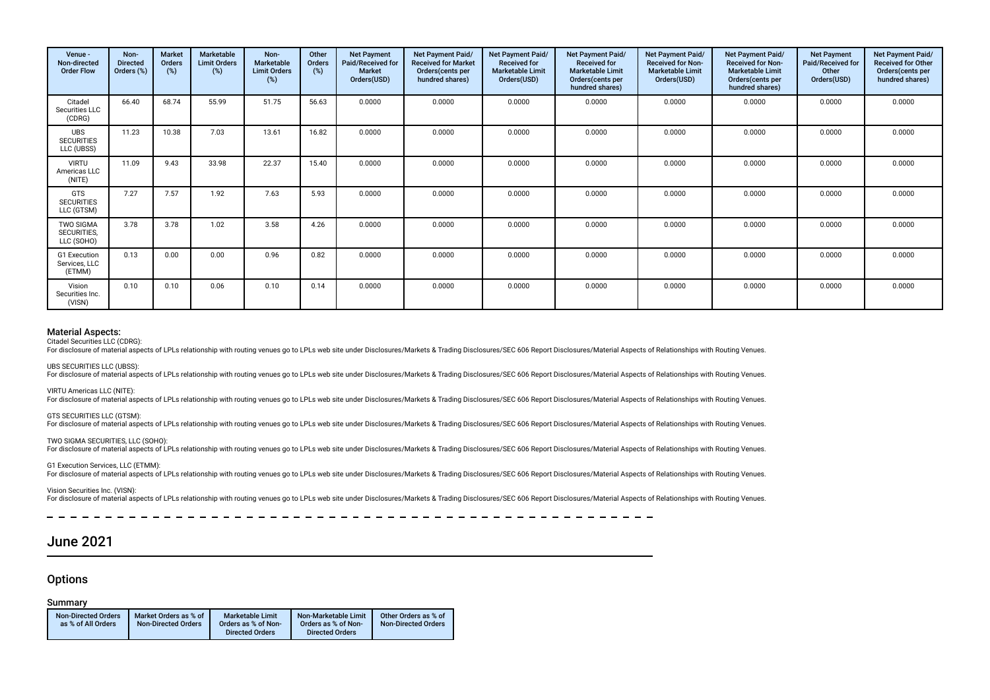| Venue -<br>Non-directed<br><b>Order Flow</b>         | Non-<br><b>Directed</b><br>Orders (%) | <b>Market</b><br>Orders<br>(%) | Marketable<br><b>Limit Orders</b><br>(%) | Non-<br>Marketable<br><b>Limit Orders</b><br>(%) | Other<br>Orders<br>(%) | <b>Net Payment</b><br>Paid/Received for<br><b>Market</b><br>Orders(USD) | Net Payment Paid/<br><b>Received for Market</b><br>Orders(cents per<br>hundred shares) | Net Payment Paid/<br><b>Received for</b><br><b>Marketable Limit</b><br>Orders(USD) | Net Payment Paid/<br><b>Received for</b><br><b>Marketable Limit</b><br>Orders(cents per<br>hundred shares) | Net Payment Paid/<br><b>Received for Non-</b><br><b>Marketable Limit</b><br>Orders(USD) | Net Payment Paid/<br><b>Received for Non-</b><br><b>Marketable Limit</b><br>Orders (cents per<br>hundred shares) | <b>Net Payment</b><br>Paid/Received for<br>Other<br>Orders(USD) | Net Payment Paid/<br><b>Received for Other</b><br>Orders(cents per<br>hundred shares) |
|------------------------------------------------------|---------------------------------------|--------------------------------|------------------------------------------|--------------------------------------------------|------------------------|-------------------------------------------------------------------------|----------------------------------------------------------------------------------------|------------------------------------------------------------------------------------|------------------------------------------------------------------------------------------------------------|-----------------------------------------------------------------------------------------|------------------------------------------------------------------------------------------------------------------|-----------------------------------------------------------------|---------------------------------------------------------------------------------------|
| Citadel<br>Securities LLC<br>(CDRG)                  | 66.40                                 | 68.74                          | 55.99                                    | 51.75                                            | 56.63                  | 0.0000                                                                  | 0.0000                                                                                 | 0.0000                                                                             | 0.0000                                                                                                     | 0.0000                                                                                  | 0.0000                                                                                                           | 0.0000                                                          | 0.0000                                                                                |
| <b>UBS</b><br><b>SECURITIES</b><br>LLC (UBSS)        | 11.23                                 | 10.38                          | 7.03                                     | 13.61                                            | 16.82                  | 0.0000                                                                  | 0.0000                                                                                 | 0.0000                                                                             | 0.0000                                                                                                     | 0.0000                                                                                  | 0.0000                                                                                                           | 0.0000                                                          | 0.0000                                                                                |
| <b>VIRTU</b><br>Americas LLC<br>(NITE)               | 11.09                                 | 9.43                           | 33.98                                    | 22.37                                            | 15.40                  | 0.0000                                                                  | 0.0000                                                                                 | 0.0000                                                                             | 0.0000                                                                                                     | 0.0000                                                                                  | 0.0000                                                                                                           | 0.0000                                                          | 0.0000                                                                                |
| <b>GTS</b><br><b>SECURITIES</b><br>LLC (GTSM)        | 7.27                                  | 7.57                           | 1.92                                     | 7.63                                             | 5.93                   | 0.0000                                                                  | 0.0000                                                                                 | 0.0000                                                                             | 0.0000                                                                                                     | 0.0000                                                                                  | 0.0000                                                                                                           | 0.0000                                                          | 0.0000                                                                                |
| <b>TWO SIGMA</b><br><b>SECURITIES.</b><br>LLC (SOHO) | 3.78                                  | 3.78                           | 1.02                                     | 3.58                                             | 4.26                   | 0.0000                                                                  | 0.0000                                                                                 | 0.0000                                                                             | 0.0000                                                                                                     | 0.0000                                                                                  | 0.0000                                                                                                           | 0.0000                                                          | 0.0000                                                                                |
| G1 Execution<br>Services, LLC<br>(ETMM)              | 0.13                                  | 0.00                           | 0.00                                     | 0.96                                             | 0.82                   | 0.0000                                                                  | 0.0000                                                                                 | 0.0000                                                                             | 0.0000                                                                                                     | 0.0000                                                                                  | 0.0000                                                                                                           | 0.0000                                                          | 0.0000                                                                                |
| Vision<br>Securities Inc.<br>(VISN)                  | 0.10                                  | 0.10                           | 0.06                                     | 0.10                                             | 0.14                   | 0.0000                                                                  | 0.0000                                                                                 | 0.0000                                                                             | 0.0000                                                                                                     | 0.0000                                                                                  | 0.0000                                                                                                           | 0.0000                                                          | 0.0000                                                                                |

### Material Aspects:

Citadel Securities LLC (CDRG):

For disclosure of material aspects of LPLs relationship with routing venues go to LPLs web site under Disclosures/Markets & Trading Disclosures/SEC 606 Report Disclosures/Material Aspects of Relationships with Routing Venu

UBS SECURITIES LLC (UBSS):

For disclosure of material aspects of LPLs relationship with routing venues go to LPLs web site under Disclosures/Markets & Trading Disclosures/SEC 606 Report Disclosures/Material Aspects of Relationships with Routing Venu

VIRTU Americas LLC (NITE):

For disclosure of material aspects of LPLs relationship with routing venues go to LPLs web site under Disclosures/Markets & Trading Disclosures/SEC 606 Report Disclosures/Material Aspects of Relationships with Routing Venu

GTS SECURITIES LLC (GTSM):

For disclosure of material aspects of LPLs relationship with routing venues go to LPLs web site under Disclosures/Markets & Trading Disclosures/SEC 606 Report Disclosures/Material Aspects of Relationships with Routing Venu

TWO SIGMA SECURITIES, LLC (SOHO):

For disclosure of material aspects of LPLs relationship with routing venues go to LPLs web site under Disclosures/Markets & Trading Disclosures/SEC 606 Report Disclosures/Material Aspects of Relationships with Routing Venu

G1 Execution Services, LLC (ETMM):

For disclosure of material aspects of LPLs relationship with routing venues go to LPLs web site under Disclosures/Markets & Trading Disclosures/SEC 606 Report Disclosures/Material Aspects of Relationships with Routing Venu

Vision Securities Inc. (VISN):

For disclosure of material aspects of LPLs relationship with routing venues go to LPLs web site under Disclosures/Markets & Trading Disclosures/SEC 606 Report Disclosures/Material Aspects of Relationships with Routing Venu

 $\overline{\phantom{a}}$ 

### June 2021

### **Options**

### Summary

| <b>Non-Directed Orders</b> | Market Orders as % of      | <b>Marketable Limit</b> | Non-Marketable Limit   | Other Orders as % of       |
|----------------------------|----------------------------|-------------------------|------------------------|----------------------------|
| as % of All Orders         | <b>Non-Directed Orders</b> | Orders as % of Non-     | Orders as % of Non-    | <b>Non-Directed Orders</b> |
|                            |                            | <b>Directed Orders</b>  | <b>Directed Orders</b> |                            |